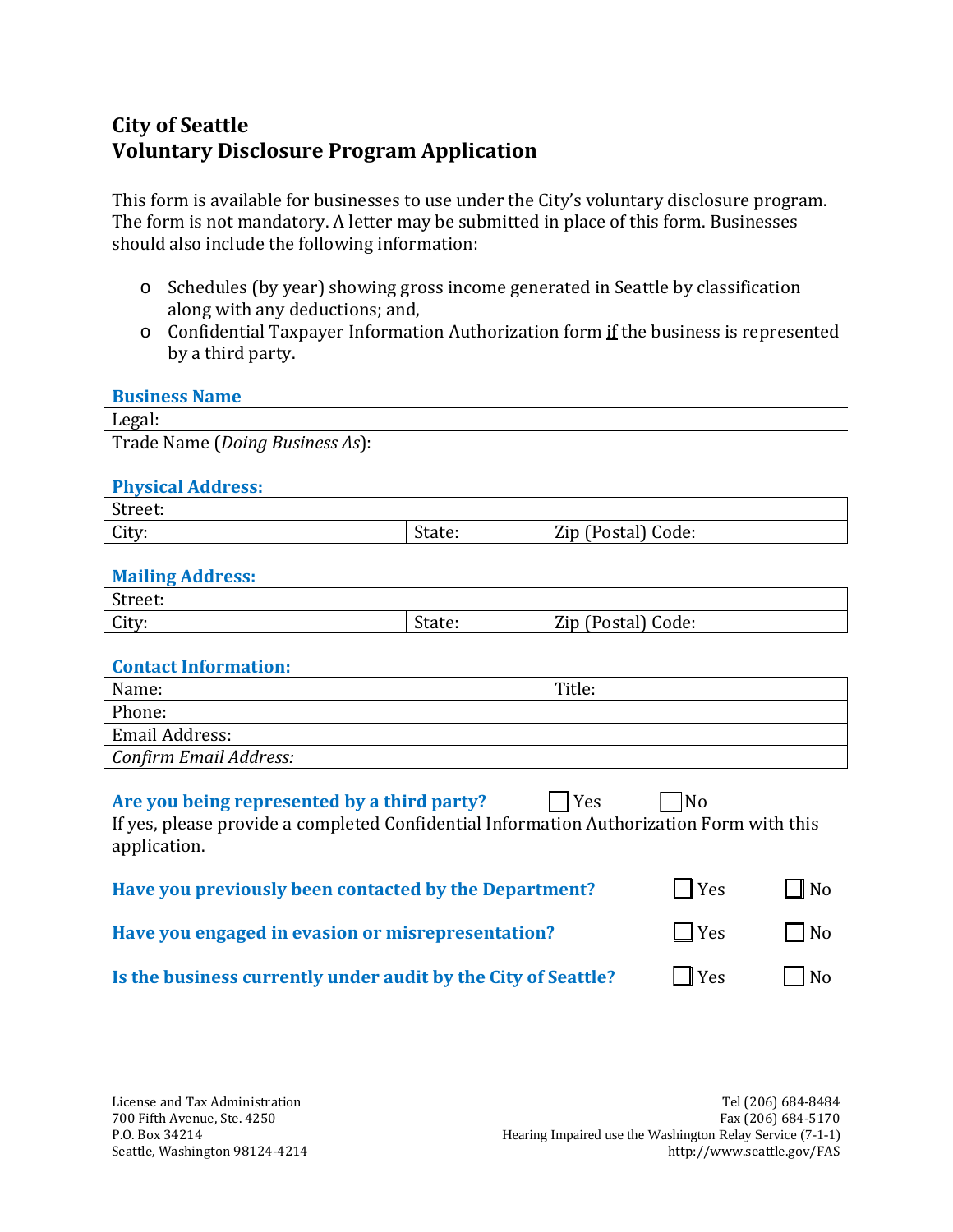# **City of Seattle Voluntary Disclosure Program Application**

This form is available for businesses to use under the City's voluntary disclosure program. The form is not mandatory. A letter may be submitted in place of this form. Businesses should also include the following information:

- o Schedules (by year) showing gross income generated in Seattle by classification along with any deductions; and,
- o Confidential Taxpayer Information Authorization form if the business is represented by a third party.

| <b>Business Name</b>            |
|---------------------------------|
| Legal:                          |
| Trade Name (Doing Business As): |

### **Physical Address:**

| $\sim$<br>Street:            |                     |                                                  |
|------------------------------|---------------------|--------------------------------------------------|
| $\sim$<br>L <sub>uty</sub> : | <u>п.</u><br>State: | Zip<br>$\sqrt{2}$<br>Code:<br>i Poeta.<br>∽ostar |

### **Mailing Address:**

| $\sim$<br>Street: |                  |                                     |
|-------------------|------------------|-------------------------------------|
| City:             | $\sim$<br>State: | Zip<br>code:<br>$1100 + 9$<br>υριαι |

#### **Contact Information:**

| Name:                  | Title: |
|------------------------|--------|
| Phone:                 |        |
| Email Address:         |        |
| Confirm Email Address: |        |

| l l Yes<br>Are you being represented by a third party?<br>If yes, please provide a completed Confidential Information Authorization Form with this<br>application. | IN <sub>0</sub> |                |
|--------------------------------------------------------------------------------------------------------------------------------------------------------------------|-----------------|----------------|
| Have you previously been contacted by the Department?                                                                                                              | $\vert$   Yes   | $\Box$ No      |
| Have you engaged in evasion or misrepresentation?                                                                                                                  | $ $   Yes       | $\Box$ No      |
| Is the business currently under audit by the City of Seattle?                                                                                                      | Yes             | N <sub>o</sub> |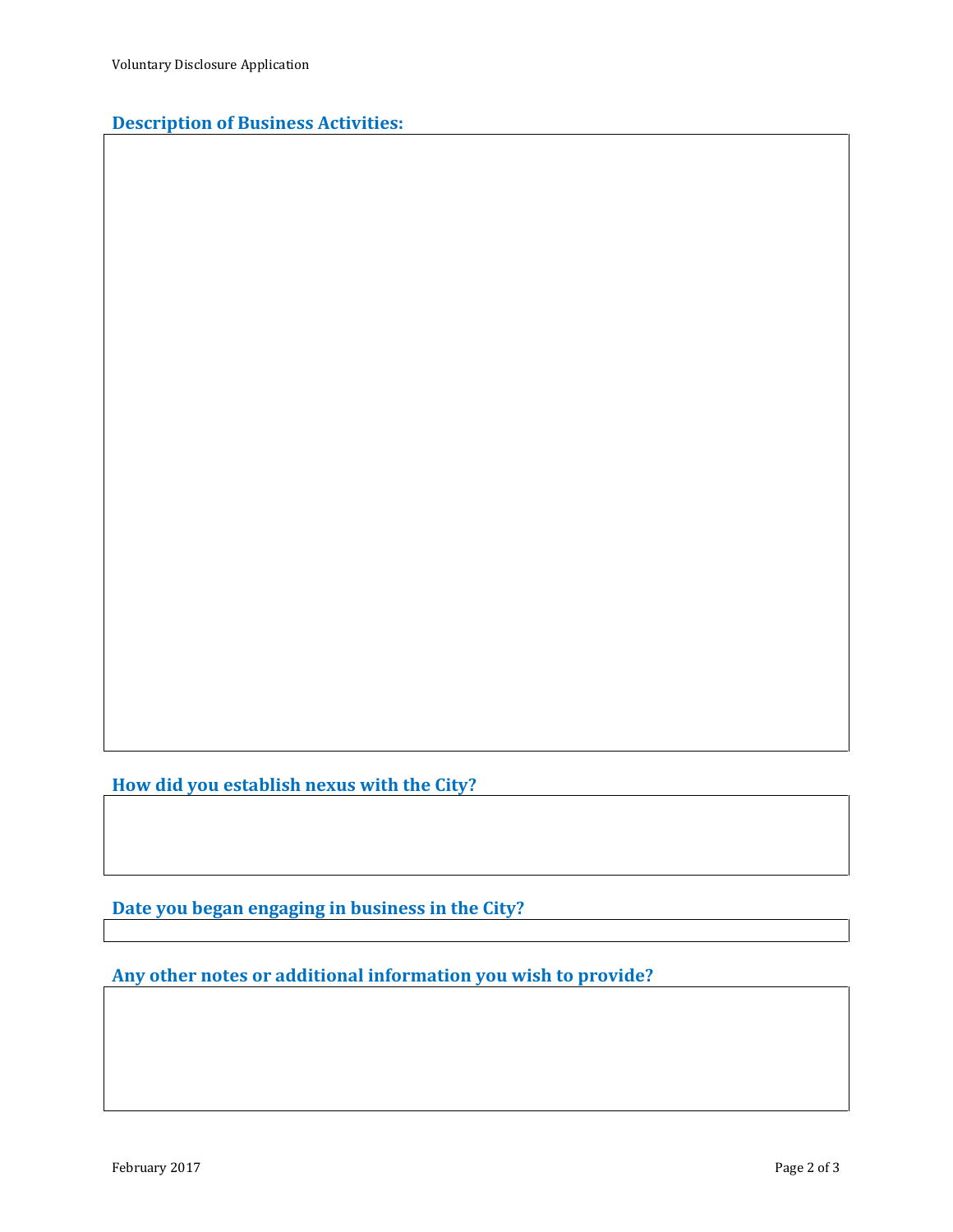## **Description of Business Activities:**

**How did you establish nexus with the City?**

**Date you began engaging in business in the City?**

**Any other notes or additional information you wish to provide?**